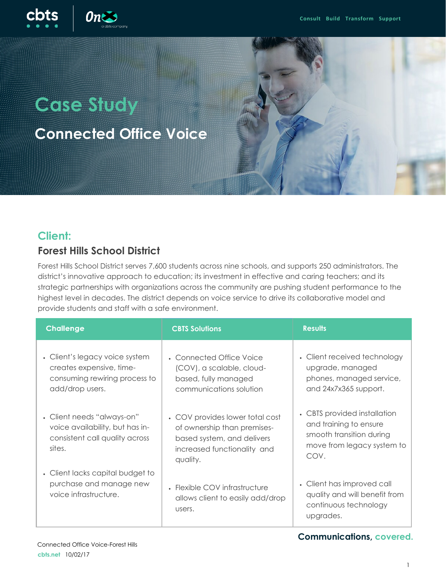

# **Case Study**

**Connected Office Voice**



#### **Client:**

#### **Forest Hills School District**

Forest Hills School District serves 7,600 students across nine schools, and supports 250 administrators. The district's innovative approach to education; its investment in effective and caring teachers; and its strategic partnerships with organizations across the community are pushing student performance to the highest level in decades. The district depends on voice service to drive its collaborative model and provide students and staff with a safe environment.

| <b>Challenge</b>                                                                                               | <b>CBTS Solutions</b>                                                                                                                   | <b>Results</b>                                                                                                           |
|----------------------------------------------------------------------------------------------------------------|-----------------------------------------------------------------------------------------------------------------------------------------|--------------------------------------------------------------------------------------------------------------------------|
| • Client's legacy voice system<br>creates expensive, time-<br>consuming rewiring process to<br>add/drop users. | • Connected Office Voice<br>(COV), a scalable, cloud-<br>based, fully managed<br>communications solution                                | • Client received technology<br>upgrade, managed<br>phones, managed service,<br>and 24x7x365 support.                    |
| • Client needs "always-on"<br>voice availability, but has in-<br>consistent call quality across<br>sites.      | • COV provides lower total cost<br>of ownership than premises-<br>based system, and delivers<br>increased functionality and<br>quality. | • CBTS provided installation<br>and training to ensure<br>smooth transition during<br>move from legacy system to<br>COV. |
| • Client lacks capital budget to<br>purchase and manage new<br>voice infrastructure.                           | • Flexible COV infrastructure<br>allows client to easily add/drop<br>users.                                                             | • Client has improved call<br>quality and will benefit from<br>continuous technology<br>upgrades.                        |